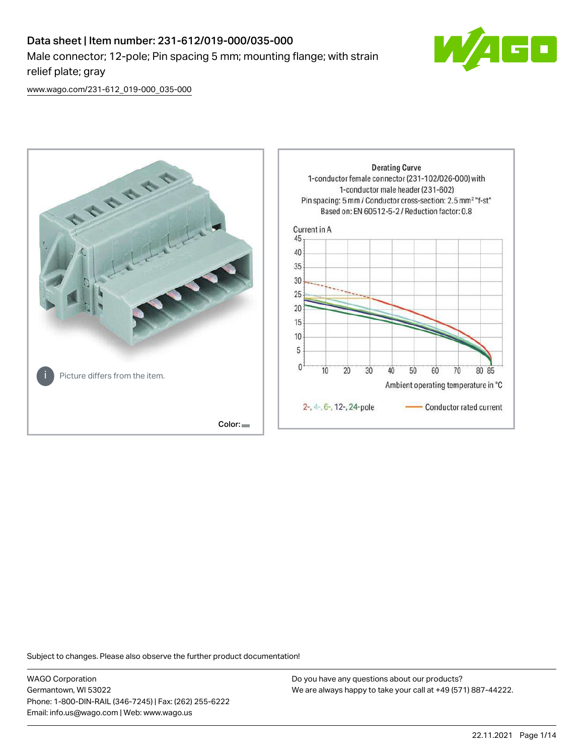# Data sheet | Item number: 231-612/019-000/035-000 Male connector; 12-pole; Pin spacing 5 mm; mounting flange; with strain relief plate; gray



[www.wago.com/231-612\\_019-000\\_035-000](http://www.wago.com/231-612_019-000_035-000)



Subject to changes. Please also observe the further product documentation!

WAGO Corporation Germantown, WI 53022 Phone: 1-800-DIN-RAIL (346-7245) | Fax: (262) 255-6222 Email: info.us@wago.com | Web: www.wago.us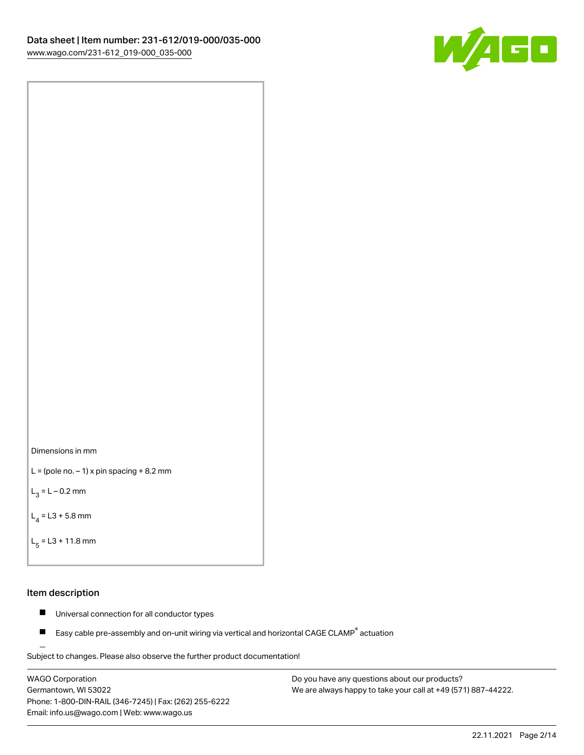



```
L = (pole no. -1) x pin spacing +8.2 mm
```
 $L_3 = L - 0.2$  mm

```
L_4 = L3 + 5.8 mm
```

```
L_{\rm g} = L3 + 11.8 mm
```
# Item description

- $\blacksquare$ Universal connection for all conductor types
- Easy cable pre-assembly and on-unit wiring via vertical and horizontal CAGE CLAMP<sup>®</sup> actuation  $\blacksquare$

Subject to changes. Please also observe the further product documentation! For wire-to-wire and board-to-wire connections

WAGO Corporation Germantown, WI 53022 Phone: 1-800-DIN-RAIL (346-7245) | Fax: (262) 255-6222 Email: info.us@wago.com | Web: www.wago.us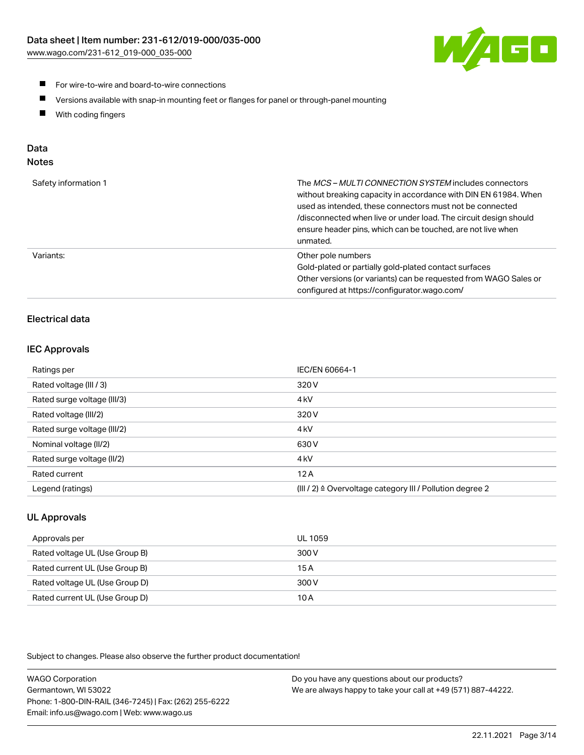

- **For wire-to-wire and board-to-wire connections**
- $\blacksquare$ Versions available with snap-in mounting feet or flanges for panel or through-panel mounting
- $\blacksquare$ With coding fingers

# Data

| Safety information 1 | The MCS-MULTI CONNECTION SYSTEM includes connectors<br>without breaking capacity in accordance with DIN EN 61984. When<br>used as intended, these connectors must not be connected<br>/disconnected when live or under load. The circuit design should<br>ensure header pins, which can be touched, are not live when<br>unmated. |
|----------------------|-----------------------------------------------------------------------------------------------------------------------------------------------------------------------------------------------------------------------------------------------------------------------------------------------------------------------------------|
| Variants:            | Other pole numbers<br>Gold-plated or partially gold-plated contact surfaces<br>Other versions (or variants) can be requested from WAGO Sales or<br>configured at https://configurator.wago.com/                                                                                                                                   |

# Electrical data

# IEC Approvals

| Ratings per                 | IEC/EN 60664-1                                                        |
|-----------------------------|-----------------------------------------------------------------------|
| Rated voltage (III / 3)     | 320 V                                                                 |
| Rated surge voltage (III/3) | 4 <sub>k</sub> V                                                      |
| Rated voltage (III/2)       | 320 V                                                                 |
| Rated surge voltage (III/2) | 4 <sub>k</sub> V                                                      |
| Nominal voltage (II/2)      | 630 V                                                                 |
| Rated surge voltage (II/2)  | 4 <sub>k</sub> V                                                      |
| Rated current               | 12A                                                                   |
| Legend (ratings)            | $(III / 2)$ $\triangle$ Overvoltage category III / Pollution degree 2 |

# UL Approvals

| Approvals per                  | UL 1059 |
|--------------------------------|---------|
| Rated voltage UL (Use Group B) | 300 V   |
| Rated current UL (Use Group B) | 15 A    |
| Rated voltage UL (Use Group D) | 300 V   |
| Rated current UL (Use Group D) | 10 A    |

| <b>WAGO Corporation</b>                                | Do you have any questions about our products?                 |
|--------------------------------------------------------|---------------------------------------------------------------|
| Germantown, WI 53022                                   | We are always happy to take your call at +49 (571) 887-44222. |
| Phone: 1-800-DIN-RAIL (346-7245)   Fax: (262) 255-6222 |                                                               |
| Email: info.us@wago.com   Web: www.wago.us             |                                                               |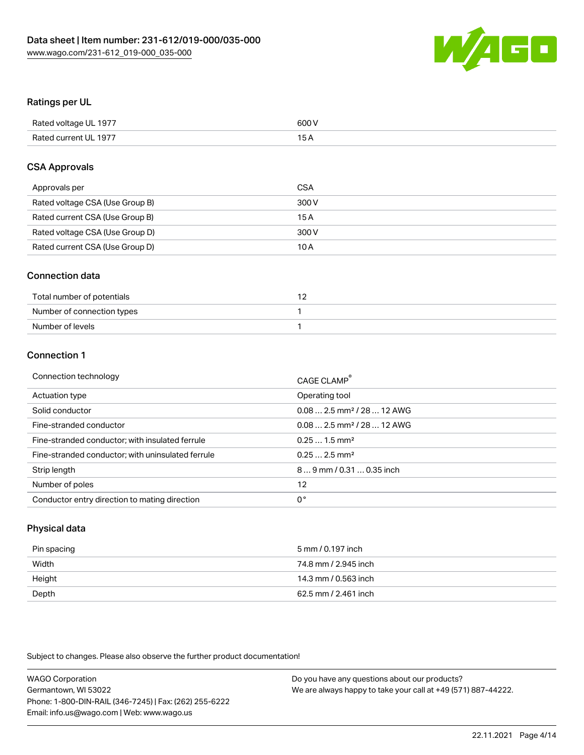

# Ratings per UL

| Rated voltage UL 1977 | 600 V           |
|-----------------------|-----------------|
| Rated current UL 1977 | 15 <sub>A</sub> |

# CSA Approvals

| Approvals per                   | CSA   |
|---------------------------------|-------|
| Rated voltage CSA (Use Group B) | 300 V |
| Rated current CSA (Use Group B) | 15 A  |
| Rated voltage CSA (Use Group D) | 300 V |
| Rated current CSA (Use Group D) | 10 A  |

# Connection data

| Total number of potentials |  |
|----------------------------|--|
| Number of connection types |  |
| Number of levels           |  |

# Connection 1

| Operating tool<br>Actuation type<br>$0.082.5$ mm <sup>2</sup> / 28  12 AWG<br>Solid conductor<br>Fine-stranded conductor<br>$0.082.5$ mm <sup>2</sup> / 28  12 AWG<br>Fine-stranded conductor; with insulated ferrule<br>$0.251.5$ mm <sup>2</sup><br>$0.252.5$ mm <sup>2</sup><br>Fine-stranded conductor; with uninsulated ferrule<br>$89$ mm $/ 0.310.35$ inch<br>Strip length<br>Number of poles<br>12<br>0°<br>Conductor entry direction to mating direction | Connection technology | CAGE CLAMP® |
|-------------------------------------------------------------------------------------------------------------------------------------------------------------------------------------------------------------------------------------------------------------------------------------------------------------------------------------------------------------------------------------------------------------------------------------------------------------------|-----------------------|-------------|
|                                                                                                                                                                                                                                                                                                                                                                                                                                                                   |                       |             |
|                                                                                                                                                                                                                                                                                                                                                                                                                                                                   |                       |             |
|                                                                                                                                                                                                                                                                                                                                                                                                                                                                   |                       |             |
|                                                                                                                                                                                                                                                                                                                                                                                                                                                                   |                       |             |
|                                                                                                                                                                                                                                                                                                                                                                                                                                                                   |                       |             |
|                                                                                                                                                                                                                                                                                                                                                                                                                                                                   |                       |             |
|                                                                                                                                                                                                                                                                                                                                                                                                                                                                   |                       |             |
|                                                                                                                                                                                                                                                                                                                                                                                                                                                                   |                       |             |

# Physical data

| Pin spacing | 5 mm / 0.197 inch    |
|-------------|----------------------|
| Width       | 74.8 mm / 2.945 inch |
| Height      | 14.3 mm / 0.563 inch |
| Depth       | 62.5 mm / 2.461 inch |

| <b>WAGO Corporation</b>                                | Do you have any questions about our products?                 |
|--------------------------------------------------------|---------------------------------------------------------------|
| Germantown, WI 53022                                   | We are always happy to take your call at +49 (571) 887-44222. |
| Phone: 1-800-DIN-RAIL (346-7245)   Fax: (262) 255-6222 |                                                               |
| Email: info.us@wago.com   Web: www.wago.us             |                                                               |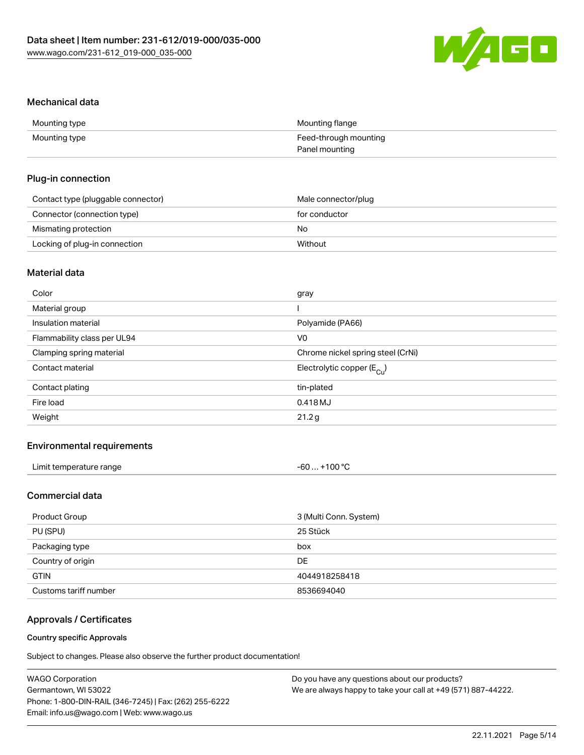

# Mechanical data

| Mounting type | Mounting flange       |
|---------------|-----------------------|
| Mounting type | Feed-through mounting |
|               | Panel mounting        |

# Plug-in connection

| Contact type (pluggable connector) | Male connector/plug |
|------------------------------------|---------------------|
| Connector (connection type)        | for conductor       |
| Mismating protection               | No.                 |
| Locking of plug-in connection      | Without             |

# Material data

| Color                       | gray                                  |
|-----------------------------|---------------------------------------|
| Material group              |                                       |
| Insulation material         | Polyamide (PA66)                      |
| Flammability class per UL94 | V0                                    |
| Clamping spring material    | Chrome nickel spring steel (CrNi)     |
| Contact material            | Electrolytic copper $(E_{\text{Cl}})$ |
| Contact plating             | tin-plated                            |
| Fire load                   | 0.418 MJ                              |
| Weight                      | 21.2g                                 |
|                             |                                       |

# Environmental requirements

| Limit temperature range | +100 $^{\circ}$ C<br>-60 |
|-------------------------|--------------------------|
|-------------------------|--------------------------|

# Commercial data

| Product Group         | 3 (Multi Conn. System) |
|-----------------------|------------------------|
| PU (SPU)              | 25 Stück               |
| Packaging type        | box                    |
| Country of origin     | DE.                    |
| <b>GTIN</b>           | 4044918258418          |
| Customs tariff number | 8536694040             |

# Approvals / Certificates

## Country specific Approvals

| <b>WAGO Corporation</b>                                | Do you have any questions about our products?                 |
|--------------------------------------------------------|---------------------------------------------------------------|
| Germantown, WI 53022                                   | We are always happy to take your call at +49 (571) 887-44222. |
| Phone: 1-800-DIN-RAIL (346-7245)   Fax: (262) 255-6222 |                                                               |
| Email: info.us@wago.com   Web: www.wago.us             |                                                               |
|                                                        |                                                               |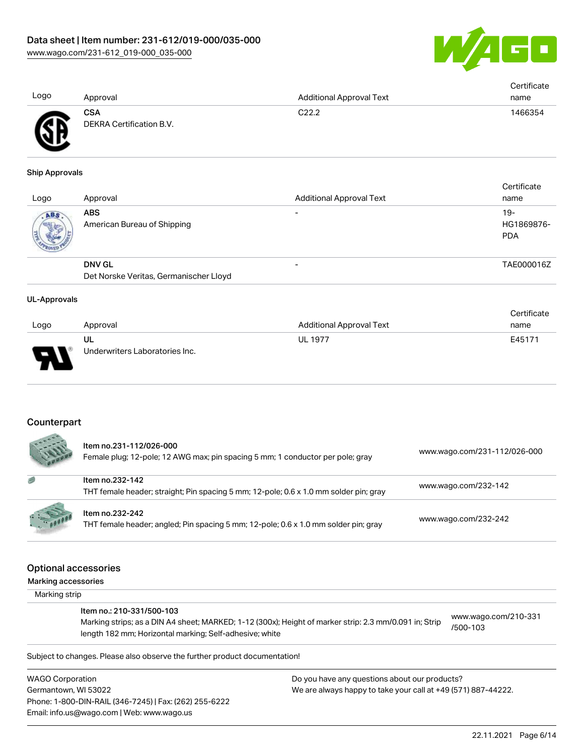

|                |                          |                                 | Certificate |
|----------------|--------------------------|---------------------------------|-------------|
| Logo           | Approval                 | <b>Additional Approval Text</b> | name        |
|                | CSA                      | C22.2                           | 1466354     |
| $\mathbb{R}^n$ | DEKRA Certification B.V. |                                 |             |

#### Ship Approvals

ЧĽ

| Logo | Approval                                                | <b>Additional Approval Text</b> | Certificate<br>name                |
|------|---------------------------------------------------------|---------------------------------|------------------------------------|
| ABS. | <b>ABS</b><br>American Bureau of Shipping               |                                 | $19 -$<br>HG1869876-<br><b>PDA</b> |
|      | <b>DNV GL</b><br>Det Norske Veritas, Germanischer Lloyd |                                 | TAE000016Z                         |

#### UL-Approvals

|      |                                |                          | Certificate |
|------|--------------------------------|--------------------------|-------------|
| Logo | Approval                       | Additional Approval Text | name        |
|      | UL                             | <b>UL 1977</b>           | E45171      |
| J    | Underwriters Laboratories Inc. |                          |             |

# **Counterpart**

|          | Item no.231-112/026-000<br>Female plug; 12-pole; 12 AWG max; pin spacing 5 mm; 1 conductor per pole; gray | www.wago.com/231-112/026-000 |
|----------|-----------------------------------------------------------------------------------------------------------|------------------------------|
| 感        | Item no.232-142<br>THT female header; straight; Pin spacing 5 mm; 12-pole; 0.6 x 1.0 mm solder pin; gray  | www.wago.com/232-142         |
| $-10000$ | Item no.232-242<br>THT female header; angled; Pin spacing 5 mm; 12-pole; 0.6 x 1.0 mm solder pin; gray    | www.wago.com/232-242         |

# Optional accessories

Marking accessories

 Marking strip Item no.: 210-331/500-103 Marking strips; as a DIN A4 sheet; MARKED; 1-12 (300x); Height of marker strip: 2.3 mm/0.091 in; Strip length 182 mm; Horizontal marking; Self-adhesive; white [www.wago.com/210-331](http://www.wago.com/210-331/500-103) [/500-103](http://www.wago.com/210-331/500-103)

Subject to changes. Please also observe the further product documentation!

WAGO Corporation Germantown, WI 53022 Phone: 1-800-DIN-RAIL (346-7245) | Fax: (262) 255-6222 Email: info.us@wago.com | Web: www.wago.us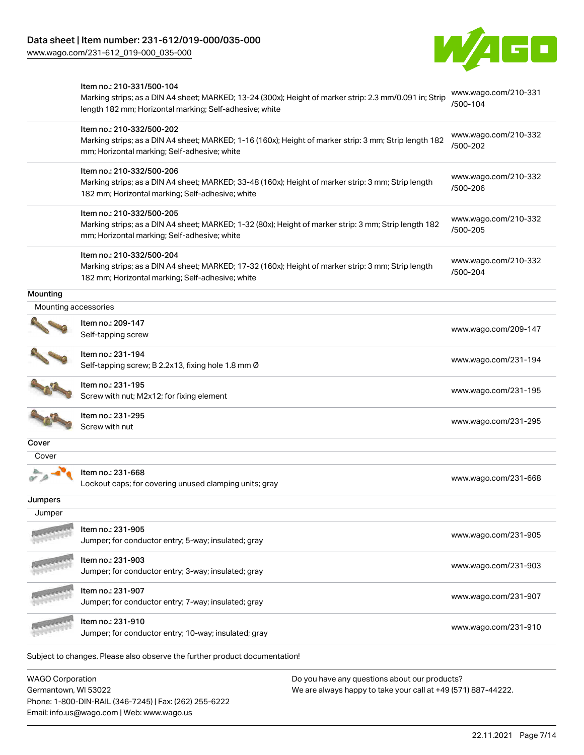Phone: 1-800-DIN-RAIL (346-7245) | Fax: (262) 255-6222

Email: info.us@wago.com | Web: www.wago.us

[www.wago.com/231-612\\_019-000\\_035-000](http://www.wago.com/231-612_019-000_035-000)



|                         | Item no.: 210-331/500-104<br>Marking strips; as a DIN A4 sheet; MARKED; 13-24 (300x); Height of marker strip: 2.3 mm/0.091 in; Strip<br>length 182 mm; Horizontal marking; Self-adhesive; white |                                                               | www.wago.com/210-331<br>/500-104 |
|-------------------------|-------------------------------------------------------------------------------------------------------------------------------------------------------------------------------------------------|---------------------------------------------------------------|----------------------------------|
|                         | Item no.: 210-332/500-202<br>Marking strips; as a DIN A4 sheet; MARKED; 1-16 (160x); Height of marker strip: 3 mm; Strip length 182<br>mm; Horizontal marking; Self-adhesive; white             |                                                               | www.wago.com/210-332<br>/500-202 |
|                         | Item no.: 210-332/500-206<br>Marking strips; as a DIN A4 sheet; MARKED; 33-48 (160x); Height of marker strip: 3 mm; Strip length<br>182 mm; Horizontal marking; Self-adhesive; white            |                                                               | www.wago.com/210-332<br>/500-206 |
|                         | Item no.: 210-332/500-205<br>Marking strips; as a DIN A4 sheet; MARKED; 1-32 (80x); Height of marker strip: 3 mm; Strip length 182<br>mm; Horizontal marking; Self-adhesive; white              |                                                               | www.wago.com/210-332<br>/500-205 |
|                         | Item no.: 210-332/500-204<br>Marking strips; as a DIN A4 sheet; MARKED; 17-32 (160x); Height of marker strip: 3 mm; Strip length<br>182 mm; Horizontal marking; Self-adhesive; white            |                                                               | www.wago.com/210-332<br>/500-204 |
| Mounting                |                                                                                                                                                                                                 |                                                               |                                  |
| Mounting accessories    |                                                                                                                                                                                                 |                                                               |                                  |
|                         | Item no.: 209-147<br>Self-tapping screw                                                                                                                                                         |                                                               | www.wago.com/209-147             |
|                         | Item no.: 231-194<br>Self-tapping screw; B 2.2x13, fixing hole 1.8 mm Ø                                                                                                                         |                                                               | www.wago.com/231-194             |
|                         | Item no.: 231-195<br>Screw with nut; M2x12; for fixing element                                                                                                                                  |                                                               | www.wago.com/231-195             |
|                         | Item no.: 231-295<br>Screw with nut                                                                                                                                                             |                                                               | www.wago.com/231-295             |
| Cover                   |                                                                                                                                                                                                 |                                                               |                                  |
| Cover                   |                                                                                                                                                                                                 |                                                               |                                  |
|                         | Item no.: 231-668<br>Lockout caps; for covering unused clamping units; gray                                                                                                                     |                                                               | www.wago.com/231-668             |
| Jumpers                 |                                                                                                                                                                                                 |                                                               |                                  |
| Jumper                  |                                                                                                                                                                                                 |                                                               |                                  |
|                         | Item no.: 231-905<br>Jumper; for conductor entry; 5-way; insulated; gray                                                                                                                        |                                                               | www.wago.com/231-905             |
|                         | Item no.: 231-903<br>Jumper; for conductor entry; 3-way; insulated; gray                                                                                                                        |                                                               | www.wago.com/231-903             |
|                         | Item no.: 231-907<br>Jumper; for conductor entry; 7-way; insulated; gray                                                                                                                        |                                                               | www.wago.com/231-907             |
|                         | Item no.: 231-910<br>Jumper; for conductor entry; 10-way; insulated; gray                                                                                                                       |                                                               | www.wago.com/231-910             |
|                         | Subject to changes. Please also observe the further product documentation!                                                                                                                      |                                                               |                                  |
| <b>WAGO Corporation</b> |                                                                                                                                                                                                 | Do you have any questions about our products?                 |                                  |
| Germantown, WI 53022    |                                                                                                                                                                                                 | We are always happy to take your call at +49 (571) 887-44222. |                                  |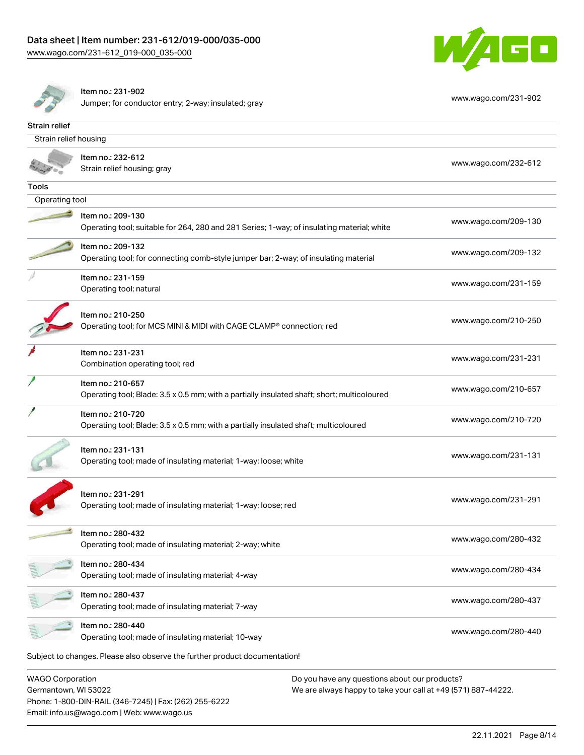



Item no.: 231-902

Phone: 1-800-DIN-RAIL (346-7245) | Fax: (262) 255-6222

Email: info.us@wago.com | Web: www.wago.us

Jumper; for conductor entry; 2-way; insulated; gray [www.wago.com/231-902](http://www.wago.com/231-902)

| Strain relief                                   |                                                                                                                  |                                                                                                                |
|-------------------------------------------------|------------------------------------------------------------------------------------------------------------------|----------------------------------------------------------------------------------------------------------------|
| Strain relief housing                           |                                                                                                                  |                                                                                                                |
|                                                 | ltem no.: 232-612<br>Strain relief housing; gray                                                                 | www.wago.com/232-612                                                                                           |
| Tools                                           |                                                                                                                  |                                                                                                                |
| Operating tool                                  |                                                                                                                  |                                                                                                                |
|                                                 | Item no.: 209-130<br>Operating tool; suitable for 264, 280 and 281 Series; 1-way; of insulating material; white  | www.wago.com/209-130                                                                                           |
|                                                 | Item no.: 209-132<br>Operating tool; for connecting comb-style jumper bar; 2-way; of insulating material         | www.wago.com/209-132                                                                                           |
|                                                 | Item no.: 231-159<br>Operating tool; natural                                                                     | www.wago.com/231-159                                                                                           |
|                                                 | Item no.: 210-250<br>Operating tool; for MCS MINI & MIDI with CAGE CLAMP® connection; red                        | www.wago.com/210-250                                                                                           |
|                                                 | Item no.: 231-231<br>Combination operating tool; red                                                             | www.wago.com/231-231                                                                                           |
|                                                 | Item no.: 210-657<br>Operating tool; Blade: 3.5 x 0.5 mm; with a partially insulated shaft; short; multicoloured | www.wago.com/210-657                                                                                           |
|                                                 | Item no.: 210-720<br>Operating tool; Blade: 3.5 x 0.5 mm; with a partially insulated shaft; multicoloured        | www.wago.com/210-720                                                                                           |
|                                                 | Item no.: 231-131<br>Operating tool; made of insulating material; 1-way; loose; white                            | www.wago.com/231-131                                                                                           |
|                                                 | Item no.: 231-291<br>Operating tool; made of insulating material; 1-way; loose; red                              | www.wago.com/231-291                                                                                           |
|                                                 | Item no.: 280-432<br>Operating tool; made of insulating material; 2-way; white                                   | www.wago.com/280-432                                                                                           |
|                                                 | Item no.: 280-434<br>Operating tool; made of insulating material; 4-way                                          | www.wago.com/280-434                                                                                           |
|                                                 | Item no.: 280-437<br>Operating tool; made of insulating material; 7-way                                          | www.wago.com/280-437                                                                                           |
|                                                 | Item no.: 280-440<br>Operating tool; made of insulating material; 10-way                                         | www.wago.com/280-440                                                                                           |
|                                                 | Subject to changes. Please also observe the further product documentation!                                       |                                                                                                                |
| <b>WAGO Corporation</b><br>Germantown, WI 53022 |                                                                                                                  | Do you have any questions about our products?<br>We are always happy to take your call at +49 (571) 887-44222. |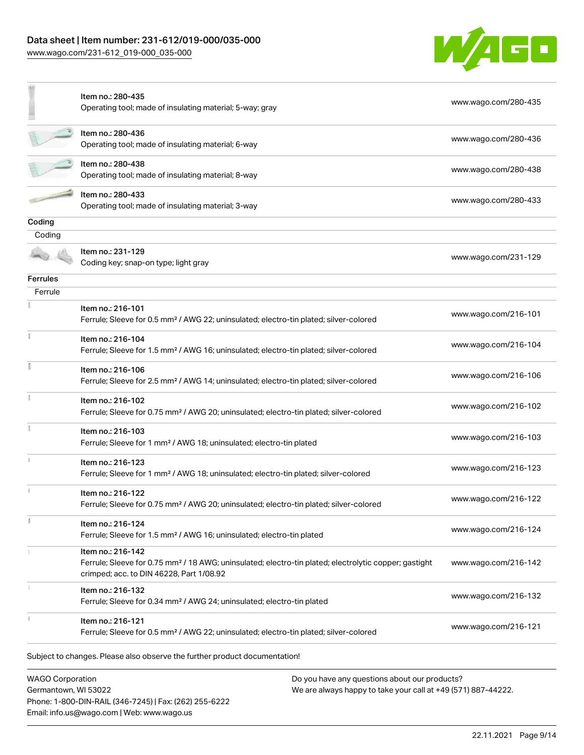# Data sheet | Item number: 231-612/019-000/035-000

[www.wago.com/231-612\\_019-000\\_035-000](http://www.wago.com/231-612_019-000_035-000)



|                         | Item no.: 280-435<br>Operating tool; made of insulating material; 5-way; gray                                                                                                      | www.wago.com/280-435 |
|-------------------------|------------------------------------------------------------------------------------------------------------------------------------------------------------------------------------|----------------------|
|                         | Item no.: 280-436<br>Operating tool; made of insulating material; 6-way                                                                                                            | www.wago.com/280-436 |
|                         | Item no.: 280-438<br>Operating tool; made of insulating material; 8-way                                                                                                            | www.wago.com/280-438 |
|                         | Item no.: 280-433<br>Operating tool; made of insulating material; 3-way                                                                                                            | www.wago.com/280-433 |
| Coding                  |                                                                                                                                                                                    |                      |
| Coding                  |                                                                                                                                                                                    |                      |
|                         | Item no.: 231-129<br>Coding key; snap-on type; light gray                                                                                                                          | www.wago.com/231-129 |
| <b>Ferrules</b>         |                                                                                                                                                                                    |                      |
| Ferrule                 |                                                                                                                                                                                    |                      |
|                         | Item no.: 216-101<br>Ferrule; Sleeve for 0.5 mm <sup>2</sup> / AWG 22; uninsulated; electro-tin plated; silver-colored                                                             | www.wago.com/216-101 |
|                         | Item no.: 216-104<br>Ferrule; Sleeve for 1.5 mm <sup>2</sup> / AWG 16; uninsulated; electro-tin plated; silver-colored                                                             | www.wago.com/216-104 |
|                         | Item no.: 216-106<br>Ferrule; Sleeve for 2.5 mm <sup>2</sup> / AWG 14; uninsulated; electro-tin plated; silver-colored                                                             | www.wago.com/216-106 |
|                         | Item no.: 216-102<br>Ferrule; Sleeve for 0.75 mm <sup>2</sup> / AWG 20; uninsulated; electro-tin plated; silver-colored                                                            | www.wago.com/216-102 |
|                         | Item no.: 216-103<br>Ferrule; Sleeve for 1 mm <sup>2</sup> / AWG 18; uninsulated; electro-tin plated                                                                               | www.wago.com/216-103 |
|                         | Item no.: 216-123<br>Ferrule; Sleeve for 1 mm <sup>2</sup> / AWG 18; uninsulated; electro-tin plated; silver-colored                                                               | www.wago.com/216-123 |
|                         | Item no.: 216-122<br>Ferrule; Sleeve for 0.75 mm <sup>2</sup> / AWG 20; uninsulated; electro-tin plated; silver-colored                                                            | www.wago.com/216-122 |
|                         | Item no.: 216-124<br>Ferrule; Sleeve for 1.5 mm <sup>2</sup> / AWG 16; uninsulated; electro-tin plated                                                                             | www.wago.com/216-124 |
|                         | Item no.: 216-142<br>Ferrule; Sleeve for 0.75 mm <sup>2</sup> / 18 AWG; uninsulated; electro-tin plated; electrolytic copper; gastight<br>crimped; acc. to DIN 46228, Part 1/08.92 | www.wago.com/216-142 |
|                         | Item no.: 216-132<br>Ferrule; Sleeve for 0.34 mm <sup>2</sup> / AWG 24; uninsulated; electro-tin plated                                                                            | www.wago.com/216-132 |
|                         | Item no.: 216-121<br>Ferrule; Sleeve for 0.5 mm <sup>2</sup> / AWG 22; uninsulated; electro-tin plated; silver-colored                                                             | www.wago.com/216-121 |
|                         | Subject to changes. Please also observe the further product documentation!                                                                                                         |                      |
| <b>WAGO Corporation</b> | Do you have any questions about our products?                                                                                                                                      |                      |

Germantown, WI 53022 Phone: 1-800-DIN-RAIL (346-7245) | Fax: (262) 255-6222 Email: info.us@wago.com | Web: www.wago.us

We are always happy to take your call at +49 (571) 887-44222.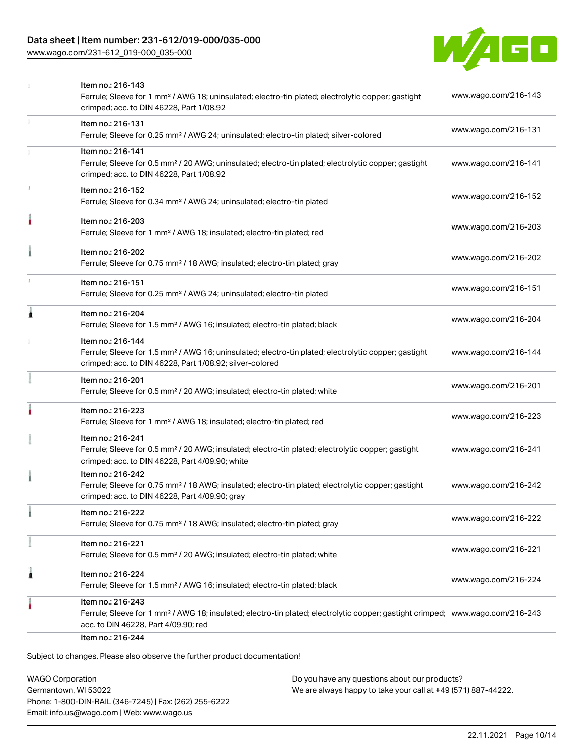# Data sheet | Item number: 231-612/019-000/035-000

[www.wago.com/231-612\\_019-000\\_035-000](http://www.wago.com/231-612_019-000_035-000)



|   | Item no.: 216-143<br>Ferrule; Sleeve for 1 mm <sup>2</sup> / AWG 18; uninsulated; electro-tin plated; electrolytic copper; gastight<br>crimped; acc. to DIN 46228, Part 1/08.92                         | www.wago.com/216-143 |
|---|---------------------------------------------------------------------------------------------------------------------------------------------------------------------------------------------------------|----------------------|
|   | Item no.: 216-131<br>Ferrule; Sleeve for 0.25 mm <sup>2</sup> / AWG 24; uninsulated; electro-tin plated; silver-colored                                                                                 | www.wago.com/216-131 |
|   | Item no.: 216-141<br>Ferrule; Sleeve for 0.5 mm <sup>2</sup> / 20 AWG; uninsulated; electro-tin plated; electrolytic copper; gastight<br>crimped; acc. to DIN 46228, Part 1/08.92                       | www.wago.com/216-141 |
|   | Item no.: 216-152<br>Ferrule; Sleeve for 0.34 mm <sup>2</sup> / AWG 24; uninsulated; electro-tin plated                                                                                                 | www.wago.com/216-152 |
|   | Item no.: 216-203<br>Ferrule; Sleeve for 1 mm <sup>2</sup> / AWG 18; insulated; electro-tin plated; red                                                                                                 | www.wago.com/216-203 |
|   | Item no.: 216-202<br>Ferrule; Sleeve for 0.75 mm <sup>2</sup> / 18 AWG; insulated; electro-tin plated; gray                                                                                             | www.wago.com/216-202 |
|   | Item no.: 216-151<br>Ferrule; Sleeve for 0.25 mm <sup>2</sup> / AWG 24; uninsulated; electro-tin plated                                                                                                 | www.wago.com/216-151 |
| ٨ | Item no.: 216-204<br>Ferrule; Sleeve for 1.5 mm <sup>2</sup> / AWG 16; insulated; electro-tin plated; black                                                                                             | www.wago.com/216-204 |
|   | Item no.: 216-144<br>Ferrule; Sleeve for 1.5 mm <sup>2</sup> / AWG 16; uninsulated; electro-tin plated; electrolytic copper; gastight<br>crimped; acc. to DIN 46228, Part 1/08.92; silver-colored       | www.wago.com/216-144 |
|   | Item no.: 216-201<br>Ferrule; Sleeve for 0.5 mm <sup>2</sup> / 20 AWG; insulated; electro-tin plated; white                                                                                             | www.wago.com/216-201 |
|   | Item no.: 216-223<br>Ferrule; Sleeve for 1 mm <sup>2</sup> / AWG 18; insulated; electro-tin plated; red                                                                                                 | www.wago.com/216-223 |
|   | Item no.: 216-241<br>Ferrule; Sleeve for 0.5 mm <sup>2</sup> / 20 AWG; insulated; electro-tin plated; electrolytic copper; gastight<br>crimped; acc. to DIN 46228, Part 4/09.90; white                  | www.wago.com/216-241 |
|   | Item no.: 216-242<br>Ferrule; Sleeve for 0.75 mm <sup>2</sup> / 18 AWG; insulated; electro-tin plated; electrolytic copper; gastight<br>crimped; acc. to DIN 46228, Part 4/09.90; gray                  | www.wago.com/216-242 |
|   | Item no.: 216-222<br>Ferrule; Sleeve for 0.75 mm <sup>2</sup> / 18 AWG; insulated; electro-tin plated; gray                                                                                             | www.wago.com/216-222 |
|   | Item no.: 216-221<br>Ferrule; Sleeve for 0.5 mm <sup>2</sup> / 20 AWG; insulated; electro-tin plated; white                                                                                             | www.wago.com/216-221 |
| 1 | Item no.: 216-224<br>Ferrule; Sleeve for 1.5 mm <sup>2</sup> / AWG 16; insulated; electro-tin plated; black                                                                                             | www.wago.com/216-224 |
|   | Item no.: 216-243<br>Ferrule; Sleeve for 1 mm <sup>2</sup> / AWG 18; insulated; electro-tin plated; electrolytic copper; gastight crimped; www.wago.com/216-243<br>acc. to DIN 46228, Part 4/09.90; red |                      |

WAGO Corporation Germantown, WI 53022 Phone: 1-800-DIN-RAIL (346-7245) | Fax: (262) 255-6222 Email: info.us@wago.com | Web: www.wago.us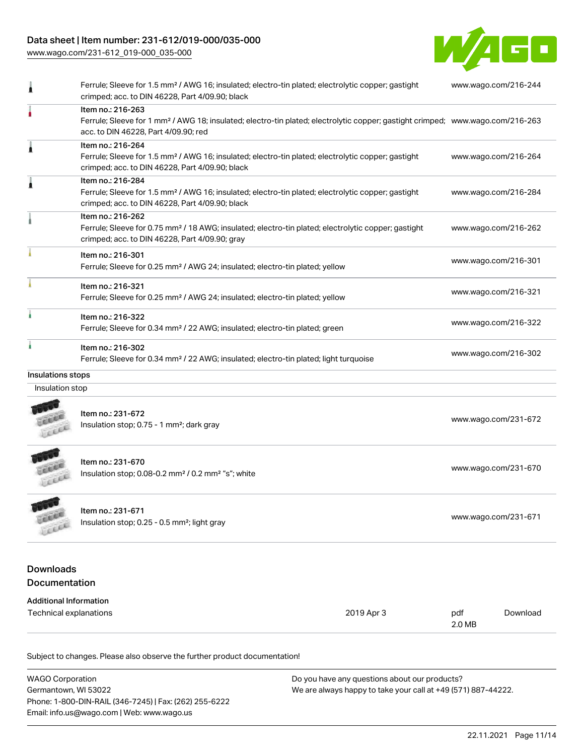# Data sheet | Item number: 231-612/019-000/035-000

[www.wago.com/231-612\\_019-000\\_035-000](http://www.wago.com/231-612_019-000_035-000)



| 1                             | Ferrule; Sleeve for 1.5 mm <sup>2</sup> / AWG 16; insulated; electro-tin plated; electrolytic copper; gastight<br>crimped; acc. to DIN 46228, Part 4/09.90; black                      |                      | www.wago.com/216-244                                                                                                                       |                      |  |  |
|-------------------------------|----------------------------------------------------------------------------------------------------------------------------------------------------------------------------------------|----------------------|--------------------------------------------------------------------------------------------------------------------------------------------|----------------------|--|--|
|                               | Item no.: 216-263<br>acc. to DIN 46228, Part 4/09.90; red                                                                                                                              |                      | Ferrule; Sleeve for 1 mm <sup>2</sup> / AWG 18; insulated; electro-tin plated; electrolytic copper; gastight crimped; www.wago.com/216-263 |                      |  |  |
| 1                             | Item no.: 216-264<br>Ferrule; Sleeve for 1.5 mm <sup>2</sup> / AWG 16; insulated; electro-tin plated; electrolytic copper; gastight<br>crimped; acc. to DIN 46228, Part 4/09.90; black |                      |                                                                                                                                            | www.wago.com/216-264 |  |  |
| 1                             | Item no.: 216-284<br>Ferrule; Sleeve for 1.5 mm <sup>2</sup> / AWG 16; insulated; electro-tin plated; electrolytic copper; gastight<br>crimped; acc. to DIN 46228, Part 4/09.90; black |                      | www.wago.com/216-284                                                                                                                       |                      |  |  |
|                               | Item no.: 216-262<br>Ferrule; Sleeve for 0.75 mm <sup>2</sup> / 18 AWG; insulated; electro-tin plated; electrolytic copper; gastight<br>crimped; acc. to DIN 46228, Part 4/09.90; gray |                      |                                                                                                                                            | www.wago.com/216-262 |  |  |
|                               | Item no.: 216-301<br>Ferrule; Sleeve for 0.25 mm <sup>2</sup> / AWG 24; insulated; electro-tin plated; yellow                                                                          |                      | www.wago.com/216-301                                                                                                                       |                      |  |  |
|                               | Item no.: 216-321<br>Ferrule; Sleeve for 0.25 mm <sup>2</sup> / AWG 24; insulated; electro-tin plated; yellow                                                                          |                      | www.wago.com/216-321                                                                                                                       |                      |  |  |
|                               | Item no.: 216-322<br>Ferrule; Sleeve for 0.34 mm <sup>2</sup> / 22 AWG; insulated; electro-tin plated; green                                                                           |                      | www.wago.com/216-322                                                                                                                       |                      |  |  |
|                               | Item no.: 216-302<br>Ferrule; Sleeve for 0.34 mm <sup>2</sup> / 22 AWG; insulated; electro-tin plated; light turquoise                                                                 |                      | www.wago.com/216-302                                                                                                                       |                      |  |  |
| Insulations stops             |                                                                                                                                                                                        |                      |                                                                                                                                            |                      |  |  |
| Insulation stop               |                                                                                                                                                                                        |                      |                                                                                                                                            |                      |  |  |
|                               | Item no.: 231-672<br>Insulation stop; 0.75 - 1 mm <sup>2</sup> ; dark gray                                                                                                             | www.wago.com/231-672 |                                                                                                                                            |                      |  |  |
|                               | Item no.: 231-670<br>Insulation stop; 0.08-0.2 mm <sup>2</sup> / 0.2 mm <sup>2</sup> "s"; white                                                                                        |                      | www.wago.com/231-670                                                                                                                       |                      |  |  |
| 工业局<br>FEEL                   | Item no.: 231-671<br>Insulation stop; 0.25 - 0.5 mm <sup>2</sup> ; light gray                                                                                                          |                      | www.wago.com/231-671                                                                                                                       |                      |  |  |
| <b>Downloads</b>              |                                                                                                                                                                                        |                      |                                                                                                                                            |                      |  |  |
| Documentation                 |                                                                                                                                                                                        |                      |                                                                                                                                            |                      |  |  |
| <b>Additional Information</b> |                                                                                                                                                                                        |                      |                                                                                                                                            |                      |  |  |
| Technical explanations        |                                                                                                                                                                                        | 2019 Apr 3           | pdf<br>2.0 MB                                                                                                                              | Download             |  |  |

| <b>WAGO Corporation</b>                                | Do you have any questions about our products?                 |
|--------------------------------------------------------|---------------------------------------------------------------|
| Germantown, WI 53022                                   | We are always happy to take your call at +49 (571) 887-44222. |
| Phone: 1-800-DIN-RAIL (346-7245)   Fax: (262) 255-6222 |                                                               |
| Email: info.us@wago.com   Web: www.wago.us             |                                                               |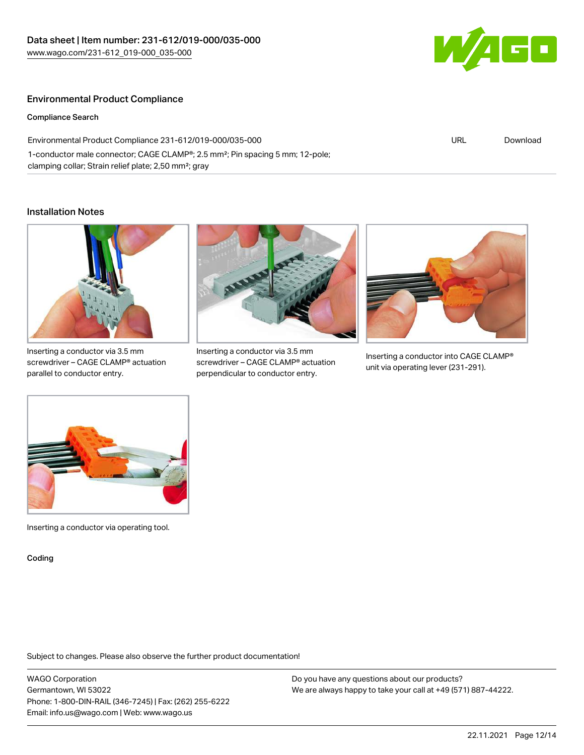

# Environmental Product Compliance

Compliance Search

Environmental Product Compliance 231-612/019-000/035-000 1-conductor male connector; CAGE CLAMP®; 2.5 mm²; Pin spacing 5 mm; 12-pole; clamping collar; Strain relief plate; 2,50 mm²; gray

# URL [Download](https://www.wago.com/global/d/ComplianceLinkMediaContainer_231-612_019-000_035-000)

## Installation Notes



Inserting a conductor via 3.5 mm screwdriver – CAGE CLAMP® actuation parallel to conductor entry.



Inserting a conductor via 3.5 mm screwdriver – CAGE CLAMP® actuation perpendicular to conductor entry.



Inserting a conductor into CAGE CLAMP® unit via operating lever (231-291).



Inserting a conductor via operating tool.

Coding

Subject to changes. Please also observe the further product documentation!

WAGO Corporation Germantown, WI 53022 Phone: 1-800-DIN-RAIL (346-7245) | Fax: (262) 255-6222 Email: info.us@wago.com | Web: www.wago.us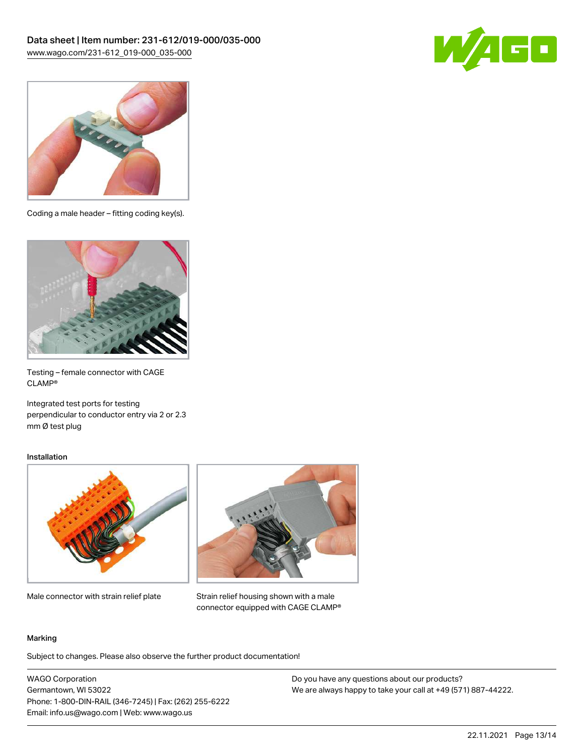



Coding a male header – fitting coding key(s).



Testing – female connector with CAGE CLAMP®

Integrated test ports for testing perpendicular to conductor entry via 2 or 2.3 mm Ø test plug

## Installation



Male connector with strain relief plate



Strain relief housing shown with a male connector equipped with CAGE CLAMP®

#### Marking

Subject to changes. Please also observe the further product documentation!

WAGO Corporation Germantown, WI 53022 Phone: 1-800-DIN-RAIL (346-7245) | Fax: (262) 255-6222 Email: info.us@wago.com | Web: www.wago.us